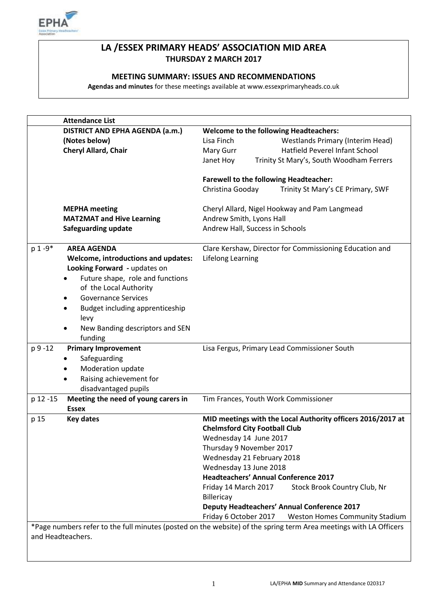

# **LA /ESSEX PRIMARY HEADS' ASSOCIATION MID AREA THURSDAY 2 MARCH 2017**

## **MEETING SUMMARY: ISSUES AND RECOMMENDATIONS**

**Agendas and minutes** for these meetings available at www.essexprimaryheads.co.uk

| <b>Attendance List</b>                          |                                                                                                                   |
|-------------------------------------------------|-------------------------------------------------------------------------------------------------------------------|
| DISTRICT AND EPHA AGENDA (a.m.)                 | <b>Welcome to the following Headteachers:</b>                                                                     |
| (Notes below)                                   | Lisa Finch<br><b>Westlands Primary (Interim Head)</b>                                                             |
| Cheryl Allard, Chair                            | Hatfield Peverel Infant School<br>Mary Gurr                                                                       |
|                                                 | Janet Hoy<br>Trinity St Mary's, South Woodham Ferrers                                                             |
|                                                 |                                                                                                                   |
|                                                 | <b>Farewell to the following Headteacher:</b>                                                                     |
|                                                 | Christina Gooday<br>Trinity St Mary's CE Primary, SWF                                                             |
|                                                 |                                                                                                                   |
| <b>MEPHA</b> meeting                            | Cheryl Allard, Nigel Hookway and Pam Langmead                                                                     |
| <b>MAT2MAT and Hive Learning</b>                | Andrew Smith, Lyons Hall                                                                                          |
| Safeguarding update                             | Andrew Hall, Success in Schools                                                                                   |
|                                                 |                                                                                                                   |
| $p 1 - 9*$<br><b>AREA AGENDA</b>                | Clare Kershaw, Director for Commissioning Education and                                                           |
| Welcome, introductions and updates:             | <b>Lifelong Learning</b>                                                                                          |
| Looking Forward - updates on                    |                                                                                                                   |
| Future shape, role and functions<br>$\bullet$   |                                                                                                                   |
| of the Local Authority                          |                                                                                                                   |
| <b>Governance Services</b><br>$\bullet$         |                                                                                                                   |
| Budget including apprenticeship<br>٠            |                                                                                                                   |
| levy                                            |                                                                                                                   |
| New Banding descriptors and SEN<br>$\bullet$    |                                                                                                                   |
| funding                                         |                                                                                                                   |
| p 9 -12<br><b>Primary Improvement</b>           | Lisa Fergus, Primary Lead Commissioner South                                                                      |
| Safeguarding                                    |                                                                                                                   |
| ٠                                               |                                                                                                                   |
| Moderation update<br>٠                          |                                                                                                                   |
| Raising achievement for<br>$\bullet$            |                                                                                                                   |
| disadvantaged pupils                            |                                                                                                                   |
| Meeting the need of young carers in<br>p 12 -15 | Tim Frances, Youth Work Commissioner                                                                              |
| <b>Essex</b>                                    |                                                                                                                   |
| p 15<br><b>Key dates</b>                        | MID meetings with the Local Authority officers 2016/2017 at                                                       |
|                                                 | <b>Chelmsford City Football Club</b>                                                                              |
|                                                 | Wednesday 14 June 2017                                                                                            |
|                                                 | Thursday 9 November 2017                                                                                          |
|                                                 | Wednesday 21 February 2018                                                                                        |
|                                                 | Wednesday 13 June 2018                                                                                            |
|                                                 | <b>Headteachers' Annual Conference 2017</b>                                                                       |
|                                                 | Friday 14 March 2017<br>Stock Brook Country Club, Nr                                                              |
|                                                 | Billericay                                                                                                        |
|                                                 | <b>Deputy Headteachers' Annual Conference 2017</b>                                                                |
|                                                 | Friday 6 October 2017<br><b>Weston Homes Community Stadium</b>                                                    |
|                                                 | *Page numbers refer to the full minutes (posted on the website) of the spring term Area meetings with LA Officers |
| and Headteachers.                               |                                                                                                                   |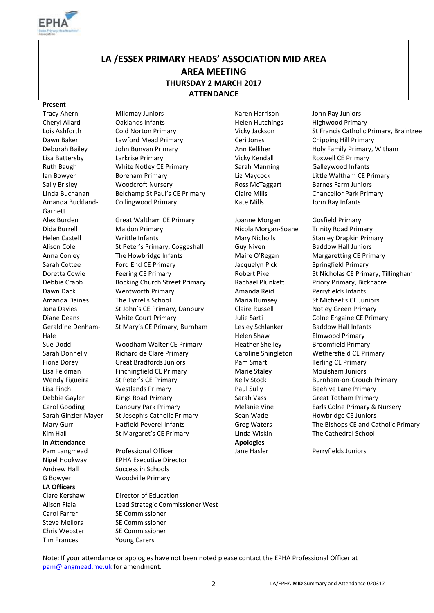

# **LA /ESSEX PRIMARY HEADS' ASSOCIATION MID AREA AREA MEETING THURSDAY 2 MARCH 2017 ATTENDANCE**

#### **Present**

Tracy Ahern Mildmay Juniors | Karen Harrison John Ray Juniors Amanda Buckland-Garnett Geraldine Denham-Hale **In Attendance Apologies** Pam Langmead Nigel Hookway Andrew Hall Success in Schools G Bowyer Woodville Primary **LA Officers** Clare Kershaw Director of Education Carol Farrer SE Commissioner Steve Mellors SE Commissioner

Cheryl Allard Caklands Infants Contained Helen Hutchings Highwood Primary Dawn Baker Lawford Mead Primary Ceri Jones Chipping Hill Primary Deborah Bailey John Bunyan Primary Ann Kelliher Holy Family Primary, Witham Lisa Battersby Larkrise Primary Vicky Kendall Roxwell CE Primary Ruth Baugh **White Notley CE Primary** Sarah Manning Galleywood Infants Ian Bowyer Boreham Primary Liz Maycock Little Waltham CE Primary Sally Brisley **Sally Brisley** Woodcroft Nursery **Ross McTaggart** Barnes Farm Juniors Linda Buchanan Belchamp St Paul's CE Primary | Claire Mills Chancellor Park Primary Collingwood Primary **Kate Mills** John Ray Infants

Alex Burden Great Waltham CE Primary Joanne Morgan Gosfield Primary Dida Burrell Maldon Primary Nicola Morgan-Soane Trinity Road Primary Helen Castell **Mary Nicholls** Stanley Drapkin Primary Alison Cole St Peter's Primary, Coggeshall Sully Niven Baddow Hall Juniors Anna Conley The Howbridge Infants Maire O'Regan Margaretting CE Primary Sarah Cottee **Ford End CE Primary Ford End CE Primary Ford End CE Primary Jacquelyn Pick** Springfield Primary Debbie Crabb Bocking Church Street Primary Rachael Plunkett Priory Primary, Bicknacre Dawn Dack **Wentworth Primary Communist Amanda Reid** Perryfields Infants Amanda Daines The Tyrrells School Maria Rumsey St Michael's CE Juniors Jona Davies St John's CE Primary, Danbury Claire Russell Notley Green Primary Diane Deans **White Court Primary Colle Engaine CE Primary** Julie Sarti Colne Engaine CE Primary St Mary's CE Primary, Burnham | Lesley Schlanker

Sue Dodd **Woodham Walter CE Primary** Heather Shelley Broomfield Primary Sarah Donnelly Richard de Clare Primary Caroline Shingleton Wethersfield CE Primary Fiona Dorey **Great Bradfords Juniors** Pam Smart Terling CE Primary Lisa Feldman Finchingfield CE Primary Marie Staley Moulsham Juniors Moulsham Juniors Wendy Figueira St Peter's CE Primary State Stock Burnham-on-Crouch Primary Relly Stock Burnham-on-Crouch Primary Lisa Finch **Example 20 Westlands Primary** Paul Sully Beehive Lane Primary Debbie Gayler Kings Road Primary Sarah Vass Great Totham Primary Sarah Ginzler-Mayer St Joseph's Catholic Primary Sean Wade Howbridge CE Juniors Kim Hall St Margaret's CE Primary **Linda Wiskin** The Cathedral School

> Professional Officer EPHA Executive Director

Alison Fiala Lead Strategic Commissioner West Chris Webster SE Commissioner Tim Frances Young Carers

Helen Shaw

Lois Ashforth Cold Norton Primary Vicky Jackson St Francis Catholic Primary, Braintree

Doretta Cowie Feering CE Primary Robert Pike St Nicholas CE Primary, Tillingham Baddow Hall Infants Elmwood Primary Carol Gooding **Danbury Park Primary Carol And America** Melanie Vine Earls Colne Primary & Nursery Mary Gurr **Hatfield Peverel Infants** Greg Waters The Bishops CE and Catholic Primary

Jane Hasler Perryfields Juniors

Note: If your attendance or apologies have not been noted please contact the EPHA Professional Officer at [pam@langmead.me.uk](mailto:pam@langmead.me.uk) for amendment.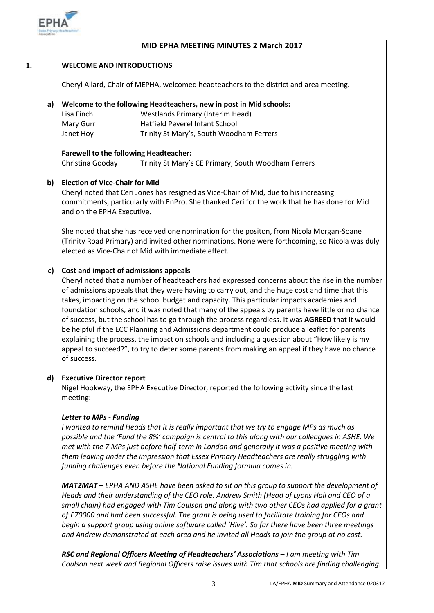

## **MID EPHA MEETING MINUTES 2 March 2017**

#### **1. WELCOME AND INTRODUCTIONS**

Cheryl Allard, Chair of MEPHA, welcomed headteachers to the district and area meeting.

## **a) Welcome to the following Headteachers, new in post in Mid schools:**

| Lisa Finch | <b>Westlands Primary (Interim Head)</b>  |
|------------|------------------------------------------|
| Mary Gurr  | Hatfield Peverel Infant School           |
| Janet Hoy  | Trinity St Mary's, South Woodham Ferrers |

## **Farewell to the following Headteacher:**

Christina Gooday Trinity St Mary's CE Primary, South Woodham Ferrers

## **b) Election of Vice-Chair for Mid**

Cheryl noted that Ceri Jones has resigned as Vice-Chair of Mid, due to his increasing commitments, particularly with EnPro. She thanked Ceri for the work that he has done for Mid and on the EPHA Executive.

She noted that she has received one nomination for the positon, from Nicola Morgan-Soane (Trinity Road Primary) and invited other nominations. None were forthcoming, so Nicola was duly elected as Vice-Chair of Mid with immediate effect.

## **c) Cost and impact of admissions appeals**

Cheryl noted that a number of headteachers had expressed concerns about the rise in the number of admissions appeals that they were having to carry out, and the huge cost and time that this takes, impacting on the school budget and capacity. This particular impacts academies and foundation schools, and it was noted that many of the appeals by parents have little or no chance of success, but the school has to go through the process regardless. It was **AGREED** that it would be helpful if the ECC Planning and Admissions department could produce a leaflet for parents explaining the process, the impact on schools and including a question about "How likely is my appeal to succeed?", to try to deter some parents from making an appeal if they have no chance of success.

## **d) Executive Director report**

Nigel Hookway, the EPHA Executive Director, reported the following activity since the last meeting:

### *Letter to MPs - Funding*

*I wanted to remind Heads that it is really important that we try to engage MPs as much as possible and the 'Fund the 8%' campaign is central to this along with our colleagues in ASHE. We met with the 7 MPs just before half-term in London and generally it was a positive meeting with them leaving under the impression that Essex Primary Headteachers are really struggling with funding challenges even before the National Funding formula comes in.*

*MAT2MAT – EPHA AND ASHE have been asked to sit on this group to support the development of Heads and their understanding of the CEO role. Andrew Smith (Head of Lyons Hall and CEO of a small chain) had engaged with Tim Coulson and along with two other CEOs had applied for a grant of £70000 and had been successful. The grant is being used to facilitate training for CEOs and begin a support group using online software called 'Hive'. So far there have been three meetings and Andrew demonstrated at each area and he invited all Heads to join the group at no cost.*

*RSC and Regional Officers Meeting of Headteachers' Associations – I am meeting with Tim Coulson next week and Regional Officers raise issues with Tim that schools are finding challenging.*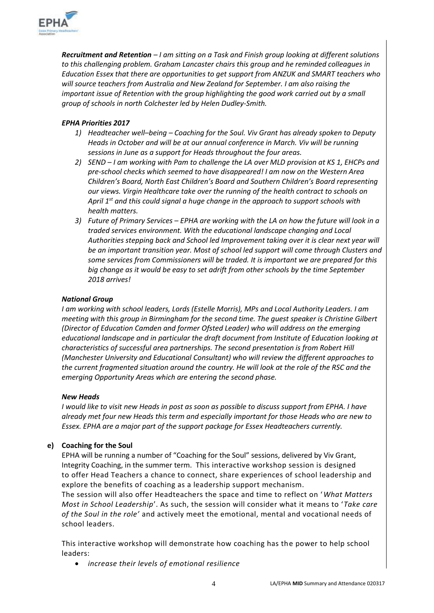

*Recruitment and Retention – I am sitting on a Task and Finish group looking at different solutions to this challenging problem. Graham Lancaster chairs this group and he reminded colleagues in Education Essex that there are opportunities to get support from ANZUK and SMART teachers who will source teachers from Australia and New Zealand for September. I am also raising the important issue of Retention with the group highlighting the good work carried out by a small group of schools in north Colchester led by Helen Dudley-Smith.*

## *EPHA Priorities 2017*

- *1) Headteacher well–being – Coaching for the Soul. Viv Grant has already spoken to Deputy Heads in October and will be at our annual conference in March. Viv will be running sessions in June as a support for Heads throughout the four areas.*
- *2) SEND – I am working with Pam to challenge the LA over MLD provision at KS 1, EHCPs and pre-school checks which seemed to have disappeared! I am now on the Western Area Children's Board, North East Children's Board and Southern Children's Board representing our views. Virgin Healthcare take over the running of the health contract to schools on April 1st and this could signal a huge change in the approach to support schools with health matters.*
- *3) Future of Primary Services – EPHA are working with the LA on how the future will look in a traded services environment. With the educational landscape changing and Local Authorities stepping back and School led Improvement taking over it is clear next year will be an important transition year. Most of school led support will come through Clusters and some services from Commissioners will be traded. It is important we are prepared for this big change as it would be easy to set adrift from other schools by the time September 2018 arrives!*

## *National Group*

*I am working with school leaders, Lords (Estelle Morris), MPs and Local Authority Leaders. I am meeting with this group in Birmingham for the second time. The guest speaker is Christine Gilbert (Director of Education Camden and former Ofsted Leader) who will address on the emerging educational landscape and in particular the draft document from Institute of Education looking at characteristics of successful area partnerships. The second presentation is from Robert Hill (Manchester University and Educational Consultant) who will review the different approaches to the current fragmented situation around the country. He will look at the role of the RSC and the emerging Opportunity Areas which are entering the second phase.* 

## *New Heads*

*I would like to visit new Heads in post as soon as possible to discuss support from EPHA. I have already met four new Heads this term and especially important for those Heads who are new to Essex. EPHA are a major part of the support package for Essex Headteachers currently.*

## **e) Coaching for the Soul**

EPHA will be running a number of "Coaching for the Soul" sessions, delivered by Viv Grant, Integrity Coaching, in the summer term. This interactive workshop session is designed to offer Head Teachers a chance to connect, share experiences of school leadership and explore the benefits of coaching as a leadership support mechanism.

The session will also offer Headteachers the space and time to reflect on '*What Matters Most in School Leadership*'. As such, the session will consider what it means to '*Take care of the Soul in the role'* and actively meet the emotional, mental and vocational needs of school leaders.

This interactive workshop will demonstrate how coaching has the power to help school leaders:

*increase their levels of emotional resilience*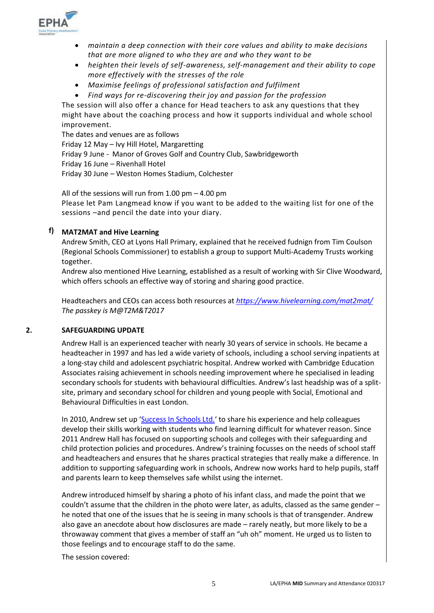

- *maintain a deep connection with their core values and ability to make decisions that are more aligned to who they are and who they want to be*
- *heighten their levels of self-awareness, self-management and their ability to cope more effectively with the stresses of the role*
- *Maximise feelings of professional satisfaction and fulfilment*
- *Find ways for re-discovering their joy and passion for the profession*

The session will also offer a chance for Head teachers to ask any questions that they might have about the coaching process and how it supports individual and whole school improvement.

The dates and venues are as follows Friday 12 May – Ivy Hill Hotel, Margaretting Friday 9 June - Manor of Groves Golf and Country Club, Sawbridgeworth Friday 16 June – Rivenhall Hotel Friday 30 June – Weston Homes Stadium, Colchester

All of the sessions will run from 1.00 pm – 4.00 pm Please let Pam Langmead know if you want to be added to the waiting list for one of the sessions –and pencil the date into your diary.

## **f) MAT2MAT and Hive Learning**

Andrew Smith, CEO at Lyons Hall Primary, explained that he received fudnign from Tim Coulson (Regional Schools Commissioner) to establish a group to support Multi-Academy Trusts working together.

Andrew also mentioned Hive Learning, established as a result of working with Sir Clive Woodward, which offers schools an effective way of storing and sharing good practice.

Headteachers and CEOs can access both resources at *<https://www.hivelearning.com/mat2mat/> The passkey is M@T2M&T2017*

### **2. SAFEGUARDING UPDATE**

Andrew Hall is an experienced teacher with nearly 30 years of service in schools. He became a headteacher in 1997 and has led a wide variety of schools, including a school serving inpatients at a long-stay child and adolescent psychiatric hospital. Andrew worked with Cambridge Education Associates raising achievement in schools needing improvement where he specialised in leading secondary schools for students with behavioural difficulties. Andrew's last headship was of a splitsite, primary and secondary school for children and young people with Social, Emotional and Behavioural Difficulties in east London.

In 2010, Andrew set up '[Success In Schools Ltd.](http://www.successinschools.co.uk/home/)' to share his experience and help colleagues develop their skills working with students who find learning difficult for whatever reason. Since 2011 Andrew Hall has focused on supporting schools and colleges with their safeguarding and child protection policies and procedures. Andrew's training focusses on the needs of school staff and headteachers and ensures that he shares practical strategies that really make a difference. In addition to supporting safeguarding work in schools, Andrew now works hard to help pupils, staff and parents learn to keep themselves safe whilst using the internet.

Andrew introduced himself by sharing a photo of his infant class, and made the point that we couldn't assume that the children in the photo were later, as adults, classed as the same gender – he noted that one of the issues that he is seeing in many schools is that of transgender. Andrew also gave an anecdote about how disclosures are made – rarely neatly, but more likely to be a throwaway comment that gives a member of staff an "uh oh" moment. He urged us to listen to those feelings and to encourage staff to do the same.

The session covered: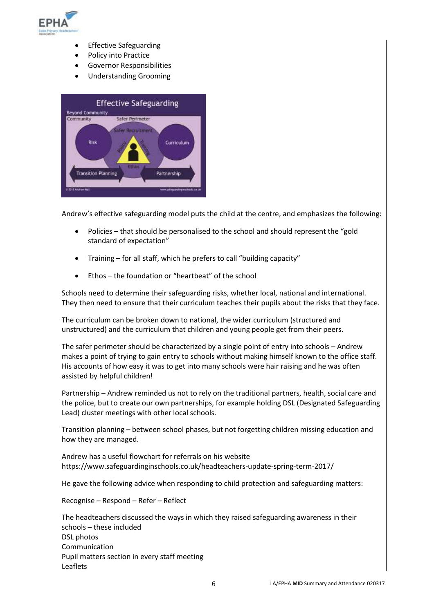

- Effective Safeguarding
- Policy into Practice
- Governor Responsibilities
- Understanding Grooming



Andrew's effective safeguarding model puts the child at the centre, and emphasizes the following:

- Policies that should be personalised to the school and should represent the "gold standard of expectation"
- Training for all staff, which he prefers to call "building capacity"
- Ethos the foundation or "heartbeat" of the school

Schools need to determine their safeguarding risks, whether local, national and international. They then need to ensure that their curriculum teaches their pupils about the risks that they face.

The curriculum can be broken down to national, the wider curriculum (structured and unstructured) and the curriculum that children and young people get from their peers.

The safer perimeter should be characterized by a single point of entry into schools – Andrew makes a point of trying to gain entry to schools without making himself known to the office staff. His accounts of how easy it was to get into many schools were hair raising and he was often assisted by helpful children!

Partnership – Andrew reminded us not to rely on the traditional partners, health, social care and the police, but to create our own partnerships, for example holding DSL (Designated Safeguarding Lead) cluster meetings with other local schools.

Transition planning – between school phases, but not forgetting children missing education and how they are managed.

Andrew has a useful flowchart for referrals on his website https://www.safeguardinginschools.co.uk/headteachers-update-spring-term-2017/

He gave the following advice when responding to child protection and safeguarding matters:

Recognise – Respond – Refer – Reflect

The headteachers discussed the ways in which they raised safeguarding awareness in their schools – these included DSL photos Communication Pupil matters section in every staff meeting Leaflets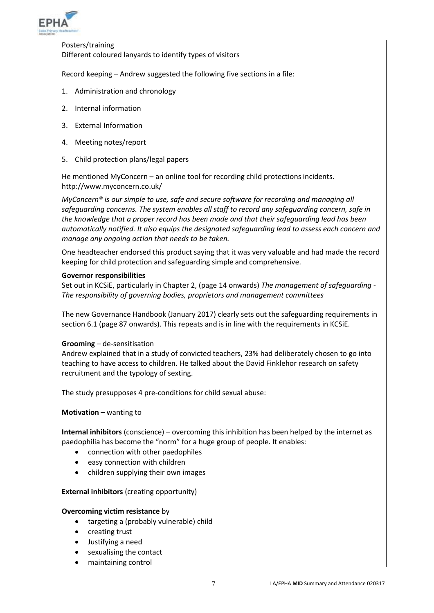

Posters/training Different coloured lanyards to identify types of visitors

Record keeping – Andrew suggested the following five sections in a file:

- 1. Administration and chronology
- 2. Internal information
- 3. External Information
- 4. Meeting notes/report
- 5. Child protection plans/legal papers

He mentioned MyConcern – an online tool for recording child protections incidents. http://www.myconcern.co.uk/

*MyConcern® is our simple to use, safe and secure software for recording and managing all safeguarding concerns. The system enables all staff to record any safeguarding concern, safe in the knowledge that a proper record has been made and that their safeguarding lead has been automatically notified. It also equips the designated safeguarding lead to assess each concern and manage any ongoing action that needs to be taken.* 

One headteacher endorsed this product saying that it was very valuable and had made the record keeping for child protection and safeguarding simple and comprehensive.

### **Governor responsibilities**

Set out in KCSiE, particularly in Chapter 2, (page 14 onwards) *The management of safeguarding - The responsibility of governing bodies, proprietors and management committees*

The new Governance Handbook (January 2017) clearly sets out the safeguarding requirements in section 6.1 (page 87 onwards). This repeats and is in line with the requirements in KCSiE.

### **Grooming** – de-sensitisation

Andrew explained that in a study of convicted teachers, 23% had deliberately chosen to go into teaching to have access to children. He talked about the David Finklehor research on safety recruitment and the typology of sexting.

The study presupposes 4 pre-conditions for child sexual abuse:

**Motivation** – wanting to

**Internal inhibitors** (conscience) – overcoming this inhibition has been helped by the internet as paedophilia has become the "norm" for a huge group of people. It enables:

- connection with other paedophiles
- easy connection with children
- children supplying their own images

### **External inhibitors** (creating opportunity)

## **Overcoming victim resistance** by

- targeting a (probably vulnerable) child
- creating trust
- Justifying a need
- sexualising the contact
- maintaining control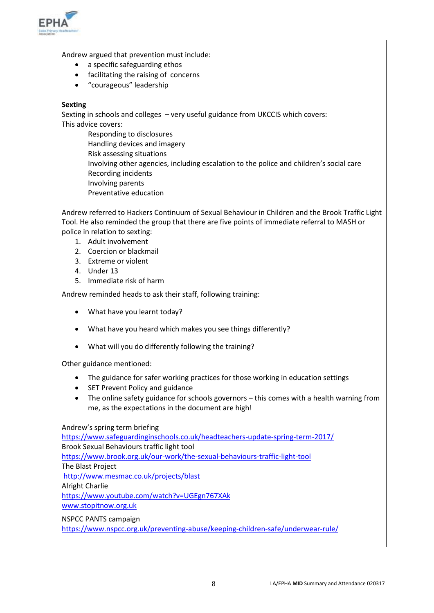

Andrew argued that prevention must include:

- a specific safeguarding ethos
- facilitating the raising of concerns
- "courageous" leadership

## **Sexting**

Sexting in schools and colleges – very useful guidance from UKCCIS which covers: This advice covers:

Responding to disclosures Handling devices and imagery Risk assessing situations Involving other agencies, including escalation to the police and children's social care Recording incidents Involving parents Preventative education

Andrew referred to Hackers Continuum of Sexual Behaviour in Children and the Brook Traffic Light Tool. He also reminded the group that there are five points of immediate referral to MASH or police in relation to sexting:

- 1. Adult involvement
- 2. Coercion or blackmail
- 3. Extreme or violent
- 4. Under 13
- 5. Immediate risk of harm

Andrew reminded heads to ask their staff, following training:

- What have you learnt today?
- What have you heard which makes you see things differently?
- What will you do differently following the training?

Other guidance mentioned:

- The guidance for safer working practices for those working in education settings
- SET Prevent Policy and guidance
- The online safety guidance for schools governors this comes with a health warning from me, as the expectations in the document are high!

### Andrew's spring term briefing

<https://www.safeguardinginschools.co.uk/headteachers-update-spring-term-2017/> Brook Sexual Behaviours traffic light tool <https://www.brook.org.uk/our-work/the-sexual-behaviours-traffic-light-tool> The Blast Project <http://www.mesmac.co.uk/projects/blast> Alright Charlie <https://www.youtube.com/watch?v=UGEgn767XAk> [www.stopitnow.org.uk](http://www.stopitnow.org.uk/)

### NSPCC PANTS campaign

<https://www.nspcc.org.uk/preventing-abuse/keeping-children-safe/underwear-rule/>